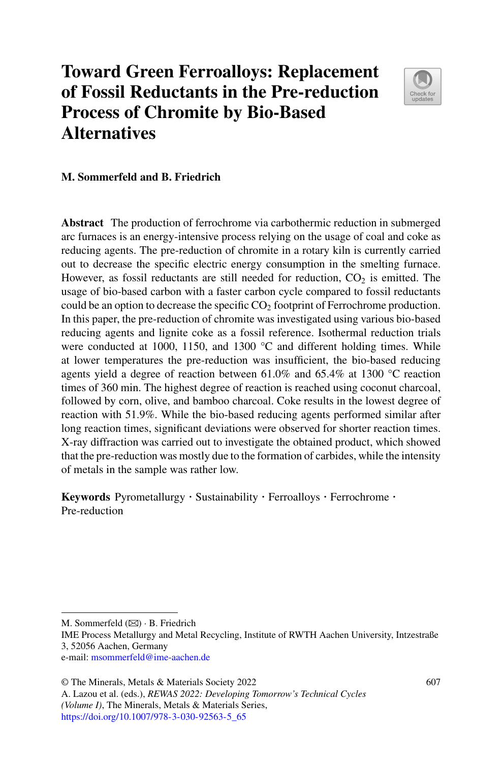# **Toward Green Ferroalloys: Replacement of Fossil Reductants in the Pre-reduction Process of Chromite by Bio-Based Alternatives**



#### **M. Sommerfeld and B. Friedrich**

**Abstract** The production of ferrochrome via carbothermic reduction in submerged arc furnaces is an energy-intensive process relying on the usage of coal and coke as reducing agents. The pre-reduction of chromite in a rotary kiln is currently carried out to decrease the specific electric energy consumption in the smelting furnace. However, as fossil reductants are still needed for reduction,  $CO<sub>2</sub>$  is emitted. The usage of bio-based carbon with a faster carbon cycle compared to fossil reductants could be an option to decrease the specific  $CO<sub>2</sub>$  footprint of Ferrochrome production. In this paper, the pre-reduction of chromite was investigated using various bio-based reducing agents and lignite coke as a fossil reference. Isothermal reduction trials were conducted at 1000, 1150, and 1300  $^{\circ}$ C and different holding times. While at lower temperatures the pre-reduction was insufficient, the bio-based reducing agents yield a degree of reaction between 61.0% and 65.4% at 1300 °C reaction times of 360 min. The highest degree of reaction is reached using coconut charcoal, followed by corn, olive, and bamboo charcoal. Coke results in the lowest degree of reaction with 51.9%. While the bio-based reducing agents performed similar after long reaction times, significant deviations were observed for shorter reaction times. X-ray diffraction was carried out to investigate the obtained product, which showed that the pre-reduction was mostly due to the formation of carbides, while the intensity of metals in the sample was rather low.

**Keywords** Pyrometallurgy · Sustainability · Ferroalloys · Ferrochrome · Pre-reduction

M. Sommerfeld  $(\boxtimes) \cdot$  B. Friedrich

IME Process Metallurgy and Metal Recycling, Institute of RWTH Aachen University, Intzestraße 3, 52056 Aachen, Germany

e-mail: [msommerfeld@ime-aachen.de](mailto:msommerfeld@ime-aachen.de)

<sup>©</sup> The Minerals, Metals & Materials Society 2022

A. Lazou et al. (eds.), *REWAS 2022: Developing Tomorrow's Technical Cycles (Volume I)*, The Minerals, Metals & Materials Series, [https://doi.org/10.1007/978-3-030-92563-5\\_65](https://doi.org/10.1007/978-3-030-92563-5_65)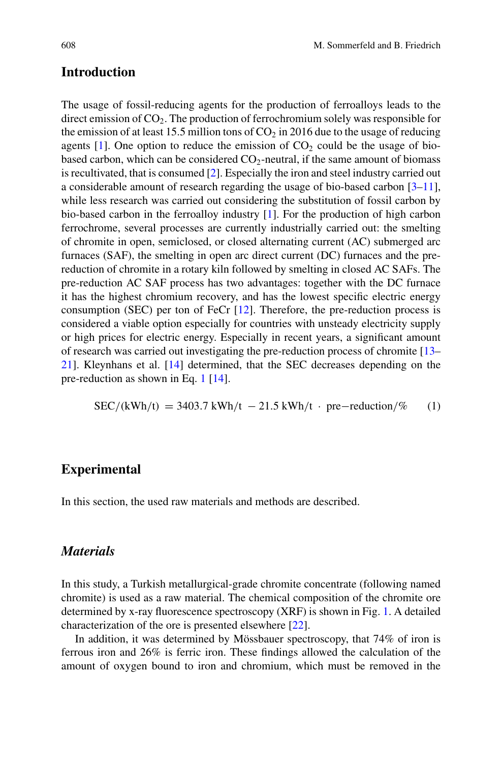## **Introduction**

The usage of fossil-reducing agents for the production of ferroalloys leads to the direct emission of  $CO<sub>2</sub>$ . The production of ferrochromium solely was responsible for the emission of at least 15.5 million tons of  $CO<sub>2</sub>$  in 2016 due to the usage of reducing agents  $[1]$ . One option to reduce the emission of  $CO<sub>2</sub>$  could be the usage of biobased carbon, which can be considered  $CO<sub>2</sub>$ -neutral, if the same amount of biomass is recultivated, that is consumed [\[2\]](#page-11-1). Especially the iron and steel industry carried out a considerable amount of research regarding the usage of bio-based carbon [\[3](#page-11-2)[–11\]](#page-12-0), while less research was carried out considering the substitution of fossil carbon by bio-based carbon in the ferroalloy industry [\[1\]](#page-11-0). For the production of high carbon ferrochrome, several processes are currently industrially carried out: the smelting of chromite in open, semiclosed, or closed alternating current (AC) submerged arc furnaces (SAF), the smelting in open arc direct current (DC) furnaces and the prereduction of chromite in a rotary kiln followed by smelting in closed AC SAFs. The pre-reduction AC SAF process has two advantages: together with the DC furnace it has the highest chromium recovery, and has the lowest specific electric energy consumption (SEC) per ton of FeCr [\[12\]](#page-12-1). Therefore, the pre-reduction process is considered a viable option especially for countries with unsteady electricity supply or high prices for electric energy. Especially in recent years, a significant amount of research was carried out investigating the pre-reduction process of chromite [\[13–](#page-12-2) [21\]](#page-12-3). Kleynhans et al. [\[14\]](#page-12-4) determined, that the SEC decreases depending on the pre-reduction as shown in Eq. [1](#page-1-0) [\[14\]](#page-12-4).

<span id="page-1-0"></span>
$$
SEC/(kWh/t) = 3403.7 \text{ kWh/t} - 21.5 \text{ kWh/t} \cdot \text{pre-reduction}/\% \qquad (1)
$$

## **Experimental**

In this section, the used raw materials and methods are described.

## *Materials*

In this study, a Turkish metallurgical-grade chromite concentrate (following named chromite) is used as a raw material. The chemical composition of the chromite ore determined by x-ray fluorescence spectroscopy (XRF) is shown in Fig. [1.](#page-2-0) A detailed characterization of the ore is presented elsewhere [\[22\]](#page-12-5).

In addition, it was determined by Mössbauer spectroscopy, that 74% of iron is ferrous iron and 26% is ferric iron. These findings allowed the calculation of the amount of oxygen bound to iron and chromium, which must be removed in the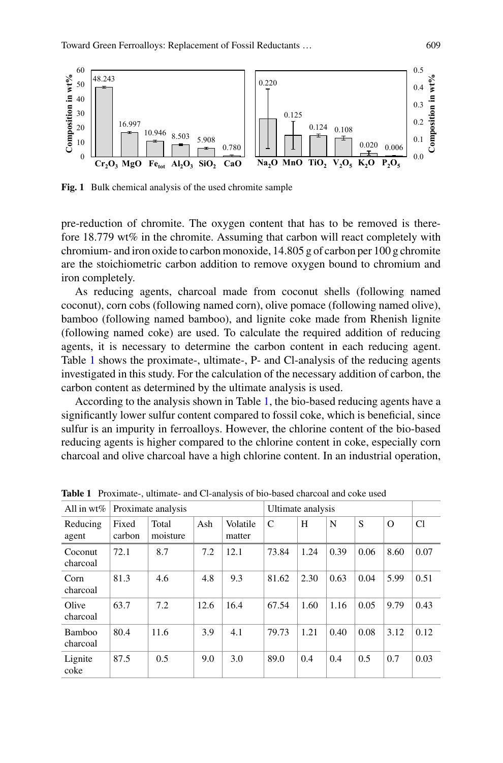

<span id="page-2-0"></span>**Fig. 1** Bulk chemical analysis of the used chromite sample

pre-reduction of chromite. The oxygen content that has to be removed is therefore 18.779 wt% in the chromite. Assuming that carbon will react completely with chromium- and iron oxide to carbon monoxide, 14.805 g of carbon per 100 g chromite are the stoichiometric carbon addition to remove oxygen bound to chromium and iron completely.

As reducing agents, charcoal made from coconut shells (following named coconut), corn cobs (following named corn), olive pomace (following named olive), bamboo (following named bamboo), and lignite coke made from Rhenish lignite (following named coke) are used. To calculate the required addition of reducing agents, it is necessary to determine the carbon content in each reducing agent. Table [1](#page-2-1) shows the proximate-, ultimate-, P- and Cl-analysis of the reducing agents investigated in this study. For the calculation of the necessary addition of carbon, the carbon content as determined by the ultimate analysis is used.

According to the analysis shown in Table [1,](#page-2-1) the bio-based reducing agents have a significantly lower sulfur content compared to fossil coke, which is beneficial, since sulfur is an impurity in ferroalloys. However, the chlorine content of the bio-based reducing agents is higher compared to the chlorine content in coke, especially corn charcoal and olive charcoal have a high chlorine content. In an industrial operation,

| All in $wt\%$       | Proximate analysis |                   |      |                    | Ultimate analysis |      |      |      |          |      |
|---------------------|--------------------|-------------------|------|--------------------|-------------------|------|------|------|----------|------|
| Reducing<br>agent   | Fixed<br>carbon    | Total<br>moisture | Ash  | Volatile<br>matter | C                 | H    | N    | S    | $\Omega$ | Cl   |
| Coconut<br>charcoal | 72.1               | 8.7               | 7.2  | 12.1               | 73.84             | 1.24 | 0.39 | 0.06 | 8.60     | 0.07 |
| Corn<br>charcoal    | 81.3               | 4.6               | 4.8  | 9.3                | 81.62             | 2.30 | 0.63 | 0.04 | 5.99     | 0.51 |
| Olive<br>charcoal   | 63.7               | 7.2               | 12.6 | 16.4               | 67.54             | 1.60 | 1.16 | 0.05 | 9.79     | 0.43 |
| Bamboo<br>charcoal  | 80.4               | 11.6              | 3.9  | 4.1                | 79.73             | 1.21 | 0.40 | 0.08 | 3.12     | 0.12 |
| Lignite<br>coke     | 87.5               | 0.5               | 9.0  | 3.0                | 89.0              | 0.4  | 0.4  | 0.5  | 0.7      | 0.03 |

<span id="page-2-1"></span>**Table 1** Proximate-, ultimate- and Cl-analysis of bio-based charcoal and coke used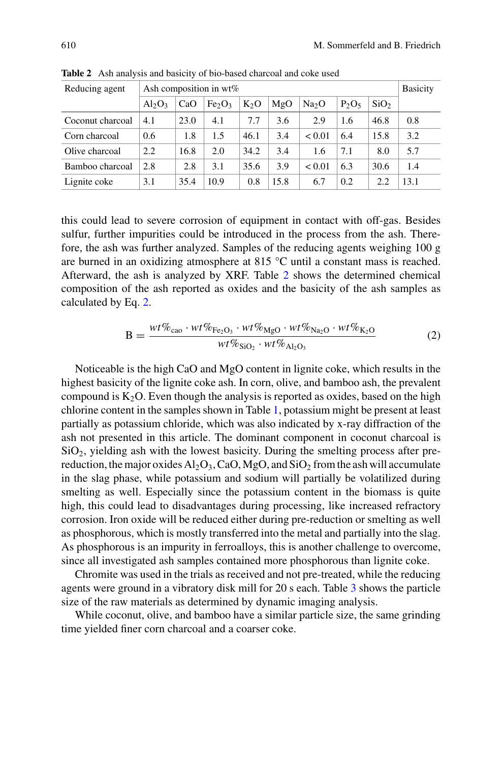| Reducing agent   | Ash composition in $wt\%$ |      |                                |        |      |                   |          |                  | <b>Basicity</b> |
|------------------|---------------------------|------|--------------------------------|--------|------|-------------------|----------|------------------|-----------------|
|                  | $Al_2O_3$                 | CaO  | Fe <sub>2</sub> O <sub>3</sub> | $K_2O$ | MgO  | Na <sub>2</sub> O | $P_2O_5$ | SiO <sub>2</sub> |                 |
| Coconut charcoal | 4.1                       | 23.0 | 4.1                            | 7.7    | 3.6  | 2.9               | 1.6      | 46.8             | 0.8             |
| Corn charcoal    | $0.6^{\circ}$             | 1.8  | 1.5                            | 46.1   | 3.4  | < 0.01            | 6.4      | 15.8             | 3.2             |
| Olive charcoal   | 2.2                       | 16.8 | 2.0                            | 34.2   | 3.4  | 1.6               | 7.1      | 8.0              | 5.7             |
| Bamboo charcoal  | 2.8                       | 2.8  | 3.1                            | 35.6   | 3.9  | < 0.01            | 6.3      | 30.6             | 1.4             |
| Lignite coke     | 3.1                       | 35.4 | 10.9                           | 0.8    | 15.8 | 6.7               | 0.2      | 2.2              | 13.1            |

<span id="page-3-0"></span>**Table 2** Ash analysis and basicity of bio-based charcoal and coke used

this could lead to severe corrosion of equipment in contact with off-gas. Besides sulfur, further impurities could be introduced in the process from the ash. Therefore, the ash was further analyzed. Samples of the reducing agents weighing 100 g are burned in an oxidizing atmosphere at 815 °C until a constant mass is reached. Afterward, the ash is analyzed by XRF. Table [2](#page-3-0) shows the determined chemical composition of the ash reported as oxides and the basicity of the ash samples as calculated by Eq. [2.](#page-3-1)

<span id="page-3-1"></span>
$$
B = \frac{wt\%_{\text{cao}} \cdot wt\%_{\text{Fe}_2\text{O}_3} \cdot wt\%_{\text{MgO}} \cdot wt\%_{\text{Na}_2\text{O}} \cdot wt\%_{\text{K}_2\text{O}}}{wt\%_{\text{SiO}_2} \cdot wt\%_{\text{Al}_2\text{O}_3}}
$$
(2)

Noticeable is the high CaO and MgO content in lignite coke, which results in the highest basicity of the lignite coke ash. In corn, olive, and bamboo ash, the prevalent compound is  $K_2O$ . Even though the analysis is reported as oxides, based on the high chlorine content in the samples shown in Table [1,](#page-2-1) potassium might be present at least partially as potassium chloride, which was also indicated by x-ray diffraction of the ash not presented in this article. The dominant component in coconut charcoal is  $SiO<sub>2</sub>$ , yielding ash with the lowest basicity. During the smelting process after prereduction, the major oxides  $A_1<sub>2</sub>O_3$ , CaO, MgO, and SiO<sub>2</sub> from the ash will accumulate in the slag phase, while potassium and sodium will partially be volatilized during smelting as well. Especially since the potassium content in the biomass is quite high, this could lead to disadvantages during processing, like increased refractory corrosion. Iron oxide will be reduced either during pre-reduction or smelting as well as phosphorous, which is mostly transferred into the metal and partially into the slag. As phosphorous is an impurity in ferroalloys, this is another challenge to overcome, since all investigated ash samples contained more phosphorous than lignite coke.

Chromite was used in the trials as received and not pre-treated, while the reducing agents were ground in a vibratory disk mill for 20 s each. Table [3](#page-4-0) shows the particle size of the raw materials as determined by dynamic imaging analysis.

While coconut, olive, and bamboo have a similar particle size, the same grinding time yielded finer corn charcoal and a coarser coke.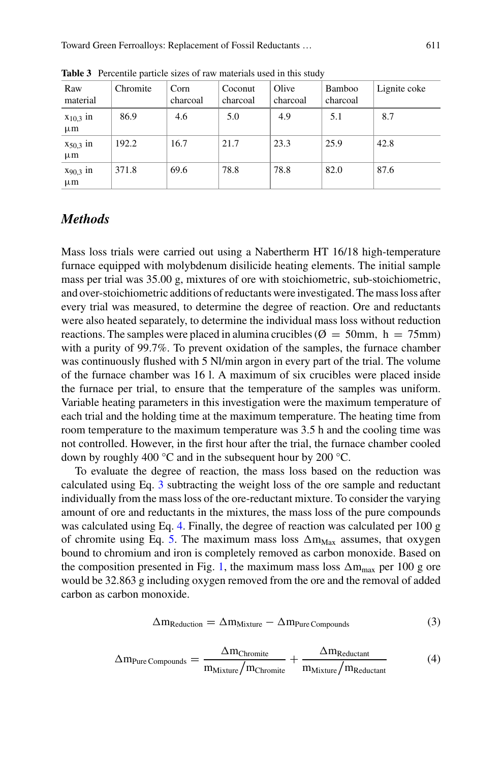| Raw<br>material          | Chromite | Corn<br>charcoal | Coconut<br>charcoal | Olive<br>charcoal | Bamboo<br>charcoal | Lignite coke |
|--------------------------|----------|------------------|---------------------|-------------------|--------------------|--------------|
| $x_{10,3}$ in<br>$\mu$ m | 86.9     | 4.6              | 5.0                 | 4.9               | 5.1                | 8.7          |
| $x_{50,3}$ in<br>$\mu$ m | 192.2    | 16.7             | 21.7                | 23.3              | 25.9               | 42.8         |
| $x_{90,3}$ in<br>$\mu$ m | 371.8    | 69.6             | 78.8                | 78.8              | 82.0               | 87.6         |

<span id="page-4-0"></span>**Table 3** Percentile particle sizes of raw materials used in this study

## *Methods*

Mass loss trials were carried out using a Nabertherm HT 16/18 high-temperature furnace equipped with molybdenum disilicide heating elements. The initial sample mass per trial was 35.00 g, mixtures of ore with stoichiometric, sub-stoichiometric, and over-stoichiometric additions of reductants were investigated. The mass loss after every trial was measured, to determine the degree of reaction. Ore and reductants were also heated separately, to determine the individual mass loss without reduction reactions. The samples were placed in alumina crucibles ( $\varnothing = 50$ mm, h = 75mm) with a purity of 99.7%. To prevent oxidation of the samples, the furnace chamber was continuously flushed with 5 Nl/min argon in every part of the trial. The volume of the furnace chamber was 16 l. A maximum of six crucibles were placed inside the furnace per trial, to ensure that the temperature of the samples was uniform. Variable heating parameters in this investigation were the maximum temperature of each trial and the holding time at the maximum temperature. The heating time from room temperature to the maximum temperature was 3.5 h and the cooling time was not controlled. However, in the first hour after the trial, the furnace chamber cooled down by roughly 400 °C and in the subsequent hour by 200 °C.

To evaluate the degree of reaction, the mass loss based on the reduction was calculated using Eq. [3](#page-4-1) subtracting the weight loss of the ore sample and reductant individually from the mass loss of the ore-reductant mixture. To consider the varying amount of ore and reductants in the mixtures, the mass loss of the pure compounds was calculated using Eq. [4.](#page-4-2) Finally, the degree of reaction was calculated per 100 g of chromite using Eq. [5.](#page-5-0) The maximum mass loss  $\Delta m_{\text{Max}}$  assumes, that oxygen bound to chromium and iron is completely removed as carbon monoxide. Based on the composition presented in Fig. [1,](#page-2-0) the maximum mass loss  $\Delta m_{max}$  per 100 g ore would be 32.863 g including oxygen removed from the ore and the removal of added carbon as carbon monoxide.

<span id="page-4-2"></span><span id="page-4-1"></span>
$$
\Delta m_{Reduction} = \Delta m_{Mixture} - \Delta m_{Pure\,Compounds} \tag{3}
$$

$$
\Delta m_{\text{Pure Compounds}} = \frac{\Delta m_{\text{Chromite}}}{m_{\text{Mixture}}/m_{\text{Chromite}}} + \frac{\Delta m_{\text{Reductant}}}{m_{\text{Mixture}}/m_{\text{Reductant}}} \tag{4}
$$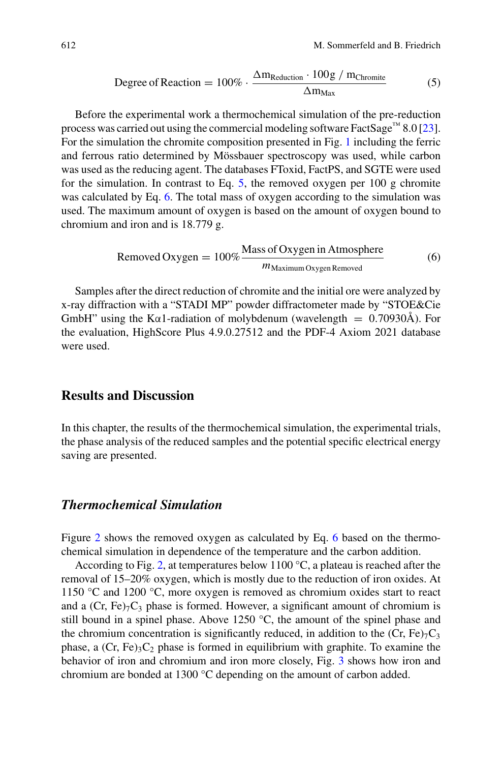<span id="page-5-0"></span>Degree of Reaction = 
$$
100\% \cdot \frac{\Delta m_{Reduction} \cdot 100g / m_{Chromite}}{\Delta m_{Max}}
$$
 (5)

Before the experimental work a thermochemical simulation of the pre-reduction process was carried out using the commercial modeling software FactSage™ 8.0 [\[23\]](#page-12-6). For the simulation the chromite composition presented in Fig. [1](#page-2-0) including the ferric and ferrous ratio determined by Mössbauer spectroscopy was used, while carbon was used as the reducing agent. The databases FToxid, FactPS, and SGTE were used for the simulation. In contrast to Eq.  $5$ , the removed oxygen per 100 g chromite was calculated by Eq. [6.](#page-5-1) The total mass of oxygen according to the simulation was used. The maximum amount of oxygen is based on the amount of oxygen bound to chromium and iron and is 18.779 g.

<span id="page-5-1"></span>
$$
Removed Oxygen = 100\% \frac{Mass of Oxygen in Atmosphere}{m_{Maximum Oxygen Removeed}}
$$
 (6)

Samples after the direct reduction of chromite and the initial ore were analyzed by x-ray diffraction with a "STADI MP" powder diffractometer made by "STOE&Cie GmbH" using the K $\alpha$ 1-radiation of molybdenum (wavelength = 0.70930Å). For the evaluation, HighScore Plus 4.9.0.27512 and the PDF-4 Axiom 2021 database were used.

## **Results and Discussion**

In this chapter, the results of the thermochemical simulation, the experimental trials, the phase analysis of the reduced samples and the potential specific electrical energy saving are presented.

#### *Thermochemical Simulation*

Figure [2](#page-6-0) shows the removed oxygen as calculated by Eq. [6](#page-5-1) based on the thermochemical simulation in dependence of the temperature and the carbon addition.

According to Fig. [2,](#page-6-0) at temperatures below 1100  $\degree$ C, a plateau is reached after the removal of 15–20% oxygen, which is mostly due to the reduction of iron oxides. At 1150 °C and 1200 °C, more oxygen is removed as chromium oxides start to react and a  $(Cr, Fe)_{7}C_{3}$  phase is formed. However, a significant amount of chromium is still bound in a spinel phase. Above 1250 °C, the amount of the spinel phase and the chromium concentration is significantly reduced, in addition to the  $(Cr, Fe)<sub>7</sub>C<sub>3</sub>$ phase, a  $(Cr, Fe)<sub>3</sub>C<sub>2</sub>$  phase is formed in equilibrium with graphite. To examine the behavior of iron and chromium and iron more closely, Fig. [3](#page-6-1) shows how iron and chromium are bonded at 1300 °C depending on the amount of carbon added.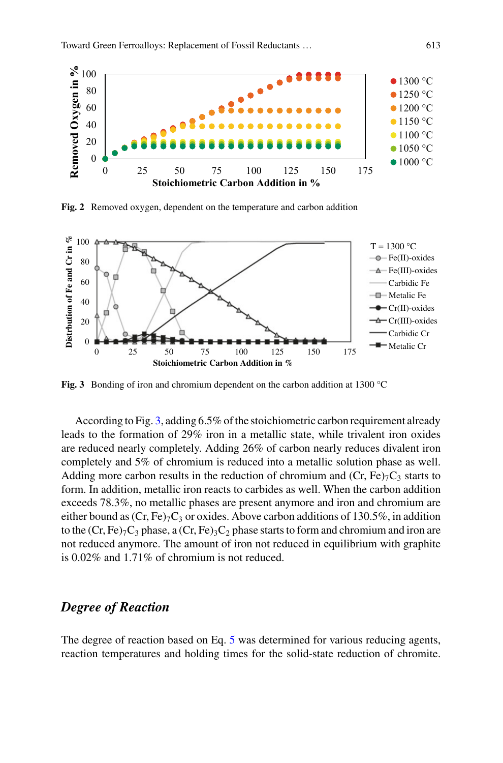

<span id="page-6-0"></span>**Fig. 2** Removed oxygen, dependent on the temperature and carbon addition



<span id="page-6-1"></span>**Fig. 3** Bonding of iron and chromium dependent on the carbon addition at 1300 °C

According to Fig. [3,](#page-6-1) adding 6.5% of the stoichiometric carbon requirement already leads to the formation of 29% iron in a metallic state, while trivalent iron oxides are reduced nearly completely. Adding 26% of carbon nearly reduces divalent iron completely and 5% of chromium is reduced into a metallic solution phase as well. Adding more carbon results in the reduction of chromium and  $(Cr, Fe)<sub>7</sub>C<sub>3</sub>$  starts to form. In addition, metallic iron reacts to carbides as well. When the carbon addition exceeds 78.3%, no metallic phases are present anymore and iron and chromium are either bound as  $(Cr, Fe)_{7}C_{3}$  or oxides. Above carbon additions of 130.5%, in addition to the (Cr, Fe)<sub>7</sub>C<sub>3</sub> phase, a (Cr, Fe)<sub>3</sub>C<sub>2</sub> phase starts to form and chromium and iron are not reduced anymore. The amount of iron not reduced in equilibrium with graphite is 0.02% and 1.71% of chromium is not reduced.

## *Degree of Reaction*

The degree of reaction based on Eq. [5](#page-5-0) was determined for various reducing agents, reaction temperatures and holding times for the solid-state reduction of chromite.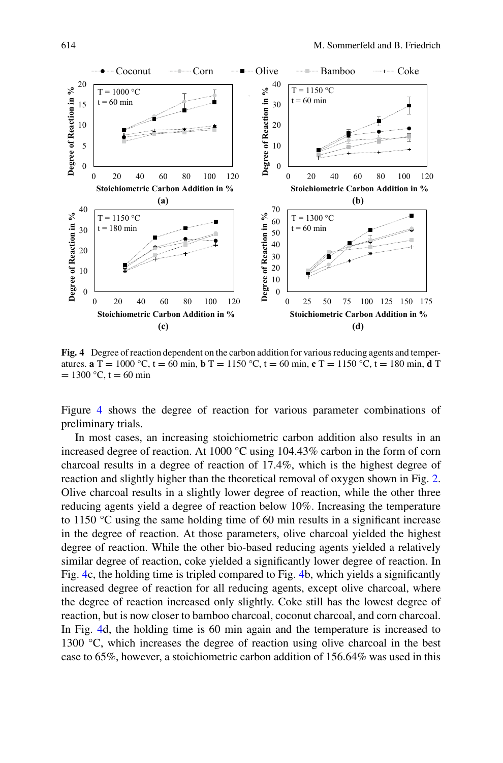

<span id="page-7-0"></span>**Fig. 4** Degree of reaction dependent on the carbon addition for various reducing agents and temperatures. **a** T = 1000 °C, t = 60 min, **b** T = 1150 °C, t = 60 min, **c** T = 1150 °C, t = 180 min, **d** T  $= 1300 °C$ , t = 60 min

Figure [4](#page-7-0) shows the degree of reaction for various parameter combinations of preliminary trials.

In most cases, an increasing stoichiometric carbon addition also results in an increased degree of reaction. At 1000 °C using 104.43% carbon in the form of corn charcoal results in a degree of reaction of 17.4%, which is the highest degree of reaction and slightly higher than the theoretical removal of oxygen shown in Fig. [2.](#page-6-0) Olive charcoal results in a slightly lower degree of reaction, while the other three reducing agents yield a degree of reaction below 10%. Increasing the temperature to 1150 °C using the same holding time of 60 min results in a significant increase in the degree of reaction. At those parameters, olive charcoal yielded the highest degree of reaction. While the other bio-based reducing agents yielded a relatively similar degree of reaction, coke yielded a significantly lower degree of reaction. In Fig. [4c](#page-7-0), the holding time is tripled compared to Fig. [4b](#page-7-0), which yields a significantly increased degree of reaction for all reducing agents, except olive charcoal, where the degree of reaction increased only slightly. Coke still has the lowest degree of reaction, but is now closer to bamboo charcoal, coconut charcoal, and corn charcoal. In Fig. [4d](#page-7-0), the holding time is 60 min again and the temperature is increased to 1300 °C, which increases the degree of reaction using olive charcoal in the best case to 65%, however, a stoichiometric carbon addition of 156.64% was used in this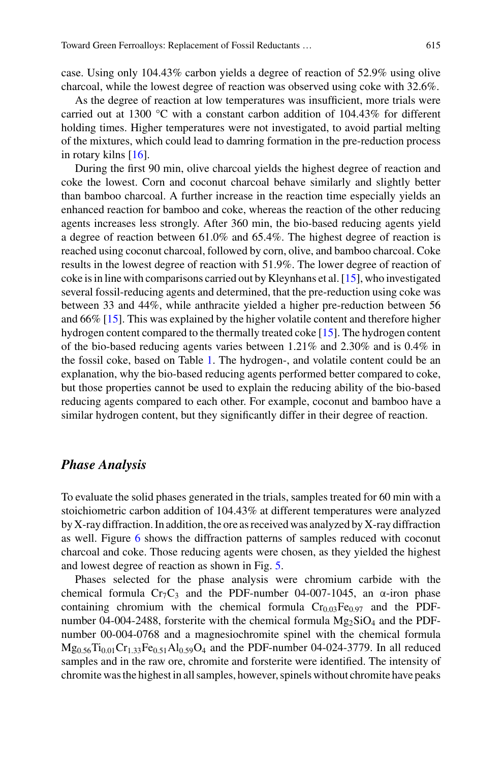case. Using only 104.43% carbon yields a degree of reaction of 52.9% using olive charcoal, while the lowest degree of reaction was observed using coke with 32.6%.

As the degree of reaction at low temperatures was insufficient, more trials were carried out at 1300  $^{\circ}$ C with a constant carbon addition of 104.43% for different holding times. Higher temperatures were not investigated, to avoid partial melting of the mixtures, which could lead to damring formation in the pre-reduction process in rotary kilns [\[16\]](#page-12-7).

During the first 90 min, olive charcoal yields the highest degree of reaction and coke the lowest. Corn and coconut charcoal behave similarly and slightly better than bamboo charcoal. A further increase in the reaction time especially yields an enhanced reaction for bamboo and coke, whereas the reaction of the other reducing agents increases less strongly. After 360 min, the bio-based reducing agents yield a degree of reaction between 61.0% and 65.4%. The highest degree of reaction is reached using coconut charcoal, followed by corn, olive, and bamboo charcoal. Coke results in the lowest degree of reaction with 51.9%. The lower degree of reaction of coke is in line with comparisons carried out by Kleynhans et al. [\[15\]](#page-12-8), who investigated several fossil-reducing agents and determined, that the pre-reduction using coke was between 33 and 44%, while anthracite yielded a higher pre-reduction between 56 and 66% [\[15\]](#page-12-8). This was explained by the higher volatile content and therefore higher hydrogen content compared to the thermally treated coke [\[15\]](#page-12-8). The hydrogen content of the bio-based reducing agents varies between 1.21% and 2.30% and is 0.4% in the fossil coke, based on Table [1.](#page-2-1) The hydrogen-, and volatile content could be an explanation, why the bio-based reducing agents performed better compared to coke, but those properties cannot be used to explain the reducing ability of the bio-based reducing agents compared to each other. For example, coconut and bamboo have a similar hydrogen content, but they significantly differ in their degree of reaction.

## *Phase Analysis*

To evaluate the solid phases generated in the trials, samples treated for 60 min with a stoichiometric carbon addition of 104.43% at different temperatures were analyzed by X-ray diffraction. In addition, the ore as received was analyzed by X-ray diffraction as well. Figure [6](#page-9-0) shows the diffraction patterns of samples reduced with coconut charcoal and coke. Those reducing agents were chosen, as they yielded the highest and lowest degree of reaction as shown in Fig. [5.](#page-9-1)

Phases selected for the phase analysis were chromium carbide with the chemical formula Cr<sub>7</sub>C<sub>3</sub> and the PDF-number 04-007-1045, an  $\alpha$ -iron phase containing chromium with the chemical formula  $Cr<sub>0.03</sub>Fe<sub>0.97</sub>$  and the PDFnumber 04-004-2488, forsterite with the chemical formula  $Mg_2SiO_4$  and the PDFnumber 00-004-0768 and a magnesiochromite spinel with the chemical formula  $Mg_{0.56}Ti_{0.01}Cr_{1.33}Fe_{0.51}Al_{0.59}O_4$  and the PDF-number 04-024-3779. In all reduced samples and in the raw ore, chromite and forsterite were identified. The intensity of chromite was the highest in all samples, however, spinels without chromite have peaks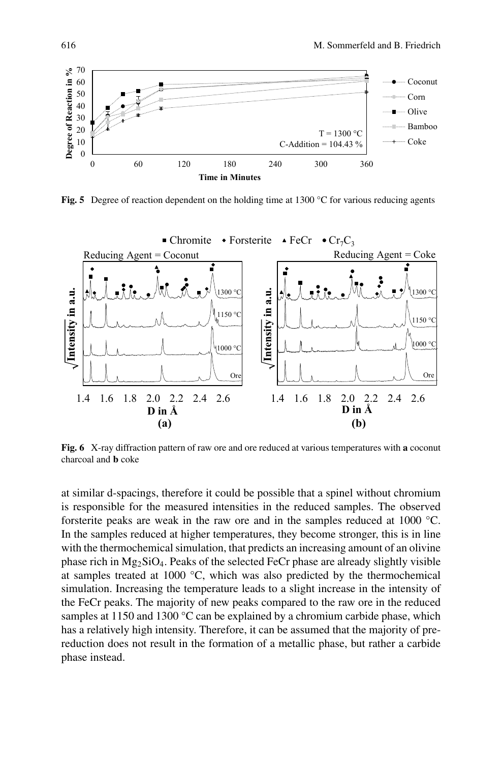

<span id="page-9-1"></span>**Fig. 5** Degree of reaction dependent on the holding time at 1300 °C for various reducing agents



<span id="page-9-0"></span>**Fig. 6** X-ray diffraction pattern of raw ore and ore reduced at various temperatures with **a** coconut charcoal and **b** coke

at similar d-spacings, therefore it could be possible that a spinel without chromium is responsible for the measured intensities in the reduced samples. The observed forsterite peaks are weak in the raw ore and in the samples reduced at 1000 °C. In the samples reduced at higher temperatures, they become stronger, this is in line with the thermochemical simulation, that predicts an increasing amount of an olivine phase rich in  $Mg_2SiO_4$ . Peaks of the selected FeCr phase are already slightly visible at samples treated at 1000 °C, which was also predicted by the thermochemical simulation. Increasing the temperature leads to a slight increase in the intensity of the FeCr peaks. The majority of new peaks compared to the raw ore in the reduced samples at 1150 and 1300 °C can be explained by a chromium carbide phase, which has a relatively high intensity. Therefore, it can be assumed that the majority of prereduction does not result in the formation of a metallic phase, but rather a carbide phase instead.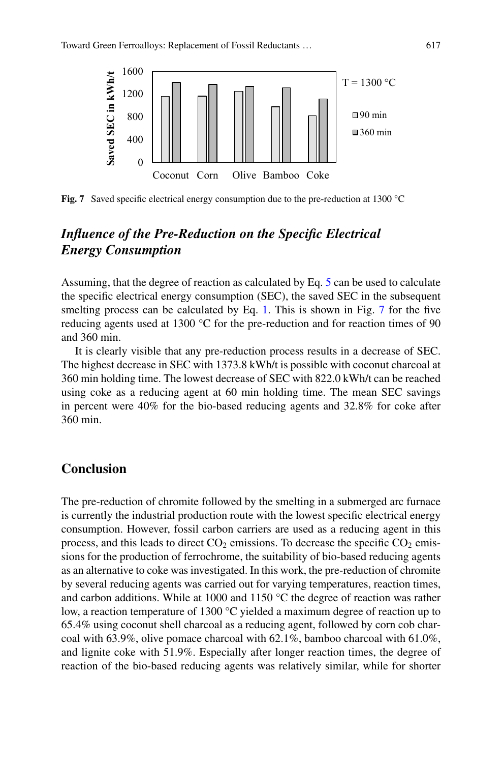

<span id="page-10-0"></span>Fig. 7 Saved specific electrical energy consumption due to the pre-reduction at 1300 °C

## *Influence of the Pre-Reduction on the Specific Electrical Energy Consumption*

Assuming, that the degree of reaction as calculated by Eq. [5](#page-5-0) can be used to calculate the specific electrical energy consumption (SEC), the saved SEC in the subsequent smelting process can be calculated by Eq. [1.](#page-1-0) This is shown in Fig. [7](#page-10-0) for the five reducing agents used at 1300 °C for the pre-reduction and for reaction times of 90 and 360 min.

It is clearly visible that any pre-reduction process results in a decrease of SEC. The highest decrease in SEC with 1373.8 kWh/t is possible with coconut charcoal at 360 min holding time. The lowest decrease of SEC with 822.0 kWh/t can be reached using coke as a reducing agent at 60 min holding time. The mean SEC savings in percent were 40% for the bio-based reducing agents and 32.8% for coke after 360 min.

## **Conclusion**

The pre-reduction of chromite followed by the smelting in a submerged arc furnace is currently the industrial production route with the lowest specific electrical energy consumption. However, fossil carbon carriers are used as a reducing agent in this process, and this leads to direct  $CO_2$  emissions. To decrease the specific  $CO_2$  emissions for the production of ferrochrome, the suitability of bio-based reducing agents as an alternative to coke was investigated. In this work, the pre-reduction of chromite by several reducing agents was carried out for varying temperatures, reaction times, and carbon additions. While at 1000 and 1150 °C the degree of reaction was rather low, a reaction temperature of 1300 °C yielded a maximum degree of reaction up to 65.4% using coconut shell charcoal as a reducing agent, followed by corn cob charcoal with 63.9%, olive pomace charcoal with 62.1%, bamboo charcoal with 61.0%, and lignite coke with 51.9%. Especially after longer reaction times, the degree of reaction of the bio-based reducing agents was relatively similar, while for shorter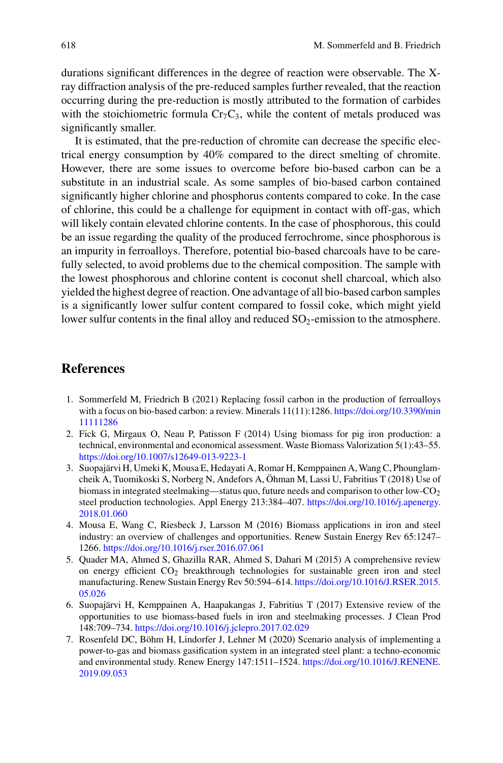durations significant differences in the degree of reaction were observable. The Xray diffraction analysis of the pre-reduced samples further revealed, that the reaction occurring during the pre-reduction is mostly attributed to the formation of carbides with the stoichiometric formula  $Cr_7C_3$ , while the content of metals produced was significantly smaller.

It is estimated, that the pre-reduction of chromite can decrease the specific electrical energy consumption by 40% compared to the direct smelting of chromite. However, there are some issues to overcome before bio-based carbon can be a substitute in an industrial scale. As some samples of bio-based carbon contained significantly higher chlorine and phosphorus contents compared to coke. In the case of chlorine, this could be a challenge for equipment in contact with off-gas, which will likely contain elevated chlorine contents. In the case of phosphorous, this could be an issue regarding the quality of the produced ferrochrome, since phosphorous is an impurity in ferroalloys. Therefore, potential bio-based charcoals have to be carefully selected, to avoid problems due to the chemical composition. The sample with the lowest phosphorous and chlorine content is coconut shell charcoal, which also yielded the highest degree of reaction. One advantage of all bio-based carbon samples is a significantly lower sulfur content compared to fossil coke, which might yield lower sulfur contents in the final alloy and reduced SO<sub>2</sub>-emission to the atmosphere.

## **References**

- <span id="page-11-0"></span>1. Sommerfeld M, Friedrich B (2021) Replacing fossil carbon in the production of ferroalloys [with a focus on bio-based carbon: a review. Minerals 11\(11\):1286.](https://doi.org/10.3390/min11111286) https://doi.org/10.3390/min 11111286
- <span id="page-11-1"></span>2. Fick G, Mirgaux O, Neau P, Patisson F (2014) Using biomass for pig iron production: a technical, environmental and economical assessment. Waste Biomass Valorization 5(1):43–55. <https://doi.org/10.1007/s12649-013-9223-1>
- <span id="page-11-2"></span>3. Suopajärvi H, Umeki K, Mousa E, Hedayati A, Romar H, Kemppainen A, Wang C, Phounglamcheik A, Tuomikoski S, Norberg N, Andefors A, Öhman M, Lassi U, Fabritius T (2018) Use of biomass in integrated steelmaking—status quo, future needs and comparison to other low- $CO<sub>2</sub>$ [steel production technologies. Appl Energy 213:384–407.](https://doi.org/10.1016/j.apenergy.2018.01.060) https://doi.org/10.1016/j.apenergy. 2018.01.060
- 4. Mousa E, Wang C, Riesbeck J, Larsson M (2016) Biomass applications in iron and steel industry: an overview of challenges and opportunities. Renew Sustain Energy Rev 65:1247– 1266. <https://doi.org/10.1016/j.rser.2016.07.061>
- 5. Quader MA, Ahmed S, Ghazilla RAR, Ahmed S, Dahari M (2015) A comprehensive review on energy efficient CO<sub>2</sub> breakthrough technologies for sustainable green iron and steel [manufacturing. Renew Sustain Energy Rev 50:594–614.](https://doi.org/10.1016/J.RSER.2015.05.026) https://doi.org/10.1016/J.RSER.2015. 05.026
- 6. Suopajärvi H, Kemppainen A, Haapakangas J, Fabritius T (2017) Extensive review of the opportunities to use biomass-based fuels in iron and steelmaking processes. J Clean Prod 148:709–734. <https://doi.org/10.1016/j.jclepro.2017.02.029>
- 7. Rosenfeld DC, Böhm H, Lindorfer J, Lehner M (2020) Scenario analysis of implementing a power-to-gas and biomass gasification system in an integrated steel plant: a techno-economic [and environmental study. Renew Energy 147:1511–1524.](https://doi.org/10.1016/J.RENENE.2019.09.053) https://doi.org/10.1016/J.RENENE. 2019.09.053